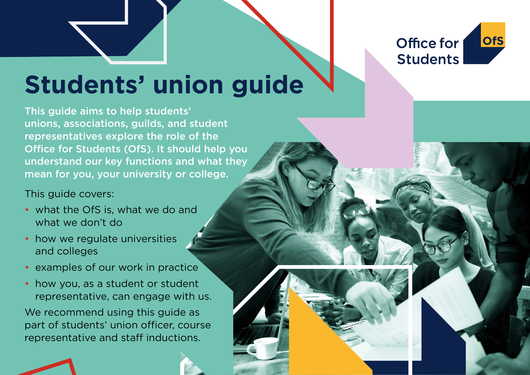

# **Students' union guide**

This guide aims to help students' unions, associations, guilds, and student representatives explore the role of the Office for Students (OfS). It should help you understand our key functions and what they mean for you, your university or college.

This guide covers:

- what the OfS is, what we do and what we don't do
- how we regulate universities and colleges
- examples of our work in practice
- how you, as a student or student representative, can engage with us.

We recommend using this quide as part of students' union officer, course representative and staff inductions.



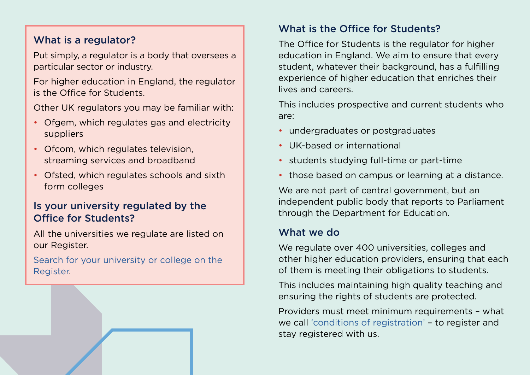#### What is a regulator?

Put simply, a regulator is a body that oversees a particular sector or industry.

For higher education in England, the regulator is the Office for Students.

Other UK regulators you may be familiar with:

- Ofgem, which regulates gas and electricity suppliers
- Ofcom, which regulates television, streaming services and broadband
- Ofsted, which regulates schools and sixth form colleges

### Is your university regulated by the Office for Students?

All the universities we regulate are listed on our Register.

[Search for your university or college on the](https://www.officeforstudents.org.uk/register/#/)  [Register](https://www.officeforstudents.org.uk/register/#/).

#### What is the Office for Students?

The Office for Students is the regulator for higher education in England. We aim to ensure that every student, whatever their background, has a fulfilling experience of higher education that enriches their lives and careers.

This includes prospective and current students who are:

- undergraduates or postgraduates
- UK-based or international
- students studying full-time or part-time
- those based on campus or learning at a distance.

We are not part of central government, but an independent public body that reports to Parliament through the Department for Education.

#### What we do

We regulate over 400 universities, colleges and other higher education providers, ensuring that each of them is meeting their obligations to students.

This includes maintaining high quality teaching and ensuring the rights of students are protected.

Providers must meet minimum requirements – what we call ['conditions of registration'](https://www.officeforstudents.org.uk/advice-and-guidance/regulation/registration-with-the-ofs-a-guide/conditions-of-registration/) – to register and stay registered with us.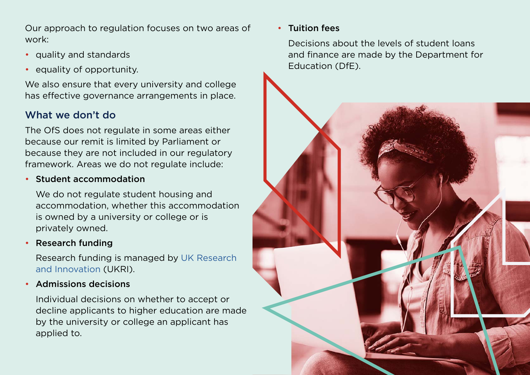Our approach to regulation focuses on two areas of work:

- quality and standards
- equality of opportunity.

We also ensure that every university and college has effective governance arrangements in place.

### What we don't do

The OfS does not regulate in some areas either because our remit is limited by Parliament or because they are not included in our regulatory framework. Areas we do not regulate include:

#### • Student accommodation

We do not regulate student housing and accommodation, whether this accommodation is owned by a university or college or is privately owned.

#### • Research funding

Research funding is managed by [UK Research](https://www.ukri.org/)  [and Innovation](https://www.ukri.org/) (UKRI).

#### • Admissions decisions

Individual decisions on whether to accept or decline applicants to higher education are made by the university or college an applicant has applied to.

• Tuition fees

Decisions about the levels of student loans and finance are made by the Department for Education (DfE).

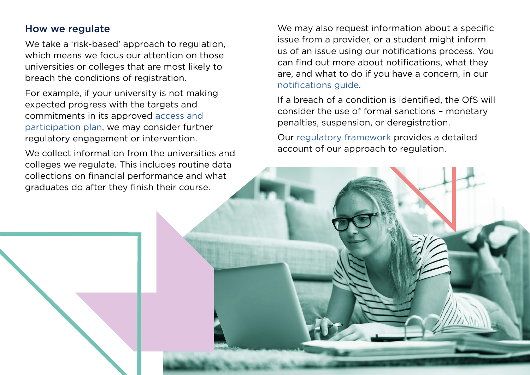#### How we regulate

We take a 'risk-based' approach to regulation, which means we focus our attention on those universities or colleges that are most likely to breach the conditions of registration.

For example, if your university is not making expected progress with the targets and commitments in its approved [access and](https://www.officeforstudents.org.uk/advice-and-guidance/promoting-equal-opportunities/access-and-participation-plans/)  [participation plan](https://www.officeforstudents.org.uk/advice-and-guidance/promoting-equal-opportunities/access-and-participation-plans/), we may consider further regulatory engagement or intervention.

We collect information from the universities and colleges we regulate. This includes routine data collections on financial performance and what graduates do after they finish their course.

We may also request information about a specific issue from a provider, or a student might inform us of an issue using our notifications process. You can find out more about notifications, what they are, and what to do if you have a concern, in our [notifications guide](https://www.officeforstudents.org.uk/for-students/ofs-and-students/notifications/).

If a breach of a condition is identified, the OfS will consider the use of formal sanctions – monetary penalties, suspension, or deregistration.

Our [regulatory framework](https://www.officeforstudents.org.uk/advice-and-guidance/regulation/the-regulatory-framework-for-higher-education-in-england/) provides a detailed account of our approach to regulation.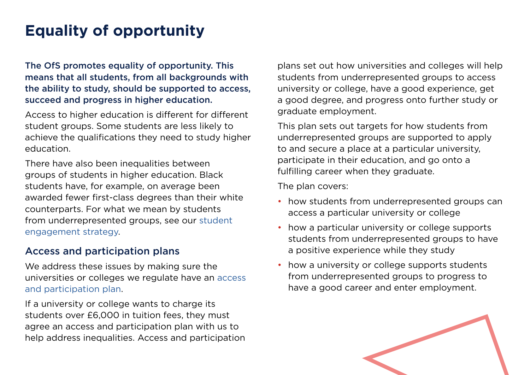# **Equality of opportunity**

The OfS promotes equality of opportunity. This means that all students, from all backgrounds with the ability to study, should be supported to access, succeed and progress in higher education.

Access to higher education is different for different student groups. Some students are less likely to achieve the qualifications they need to study higher education.

There have also been inequalities between groups of students in higher education. Black students have, for example, on average been awarded fewer first-class degrees than their white counterparts. For what we mean by students from underrepresented groups, see our [student](https://www.officeforstudents.org.uk/publications/students-experts-in-their-own-experience/)  [engagement strategy.](https://www.officeforstudents.org.uk/publications/students-experts-in-their-own-experience/)

#### Access and participation plans

We address these issues by making sure the universities or colleges we regulate have an [access](https://www.officeforstudents.org.uk/advice-and-guidance/promoting-equal-opportunities/access-and-participation-plans/)  [and participation plan](https://www.officeforstudents.org.uk/advice-and-guidance/promoting-equal-opportunities/access-and-participation-plans/).

If a university or college wants to charge its students over £6,000 in tuition fees, they must agree an access and participation plan with us to help address inequalities. Access and participation plans set out how universities and colleges will help students from underrepresented groups to access university or college, have a good experience, get a good degree, and progress onto further study or graduate employment.

This plan sets out targets for how students from underrepresented groups are supported to apply to and secure a place at a particular university, participate in their education, and go onto a fulfilling career when they graduate.

The plan covers:

- how students from underrepresented groups can access a particular university or college
- how a particular university or college supports students from underrepresented groups to have a positive experience while they study
- how a university or college supports students from underrepresented groups to progress to have a good career and enter employment.

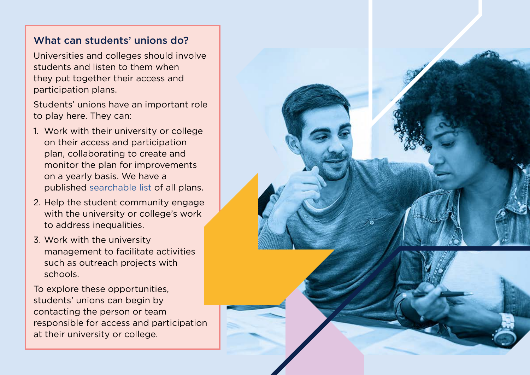#### What can students' unions do?

Universities and colleges should involve students and listen to them when they put together their access and participation plans.

Students' unions have an important role to play here. They can:

- 1. Work with their university or college on their access and participation plan, collaborating to create and monitor the plan for improvements on a yearly basis. We have a published [searchable list](https://www.officeforstudents.org.uk/advice-and-guidance/the-register/search-for-access-and-participation-plans/#/AccessPlans/) of all plans.
- 2. Help the student community engage with the university or college's work to address inequalities.
- 3. Work with the university management to facilitate activities such as outreach projects with schools.

To explore these opportunities, students' unions can begin by contacting the person or team responsible for access and participation at their university or college.

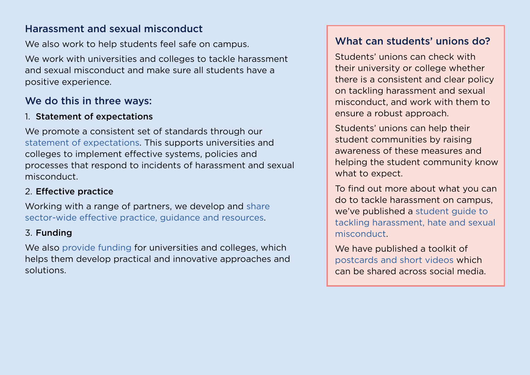#### Harassment and sexual misconduct

We also work to help students feel safe on campus.

We work with universities and colleges to tackle harassment and sexual misconduct and make sure all students have a positive experience.

#### We do this in three ways:

#### 1. Statement of expectations

We promote a consistent set of standards through our [statement of expectations.](https://www.officeforstudents.org.uk/advice-and-guidance/student-wellbeing-and-protection/prevent-and-address-harassment-and-sexual-misconduct/statement-of-expectations/) This supports universities and colleges to implement effective systems, policies and processes that respond to incidents of harassment and sexual misconduct.

#### 2. Effective practice

Working with a range of partners, we develop and [share](https://www.officeforstudents.org.uk/advice-and-guidance/student-wellbeing-and-protection/prevent-and-address-harassment-and-sexual-misconduct/resources-for-higher-education-providers/)  [sector-wide effective practice, guidance and resources.](https://www.officeforstudents.org.uk/advice-and-guidance/student-wellbeing-and-protection/prevent-and-address-harassment-and-sexual-misconduct/resources-for-higher-education-providers/)

#### 3. Funding

We also [provide funding](https://www.officeforstudents.org.uk/advice-and-guidance/student-wellbeing-and-protection/prevent-and-address-harassment-and-sexual-misconduct/what-we-re-doing/) for universities and colleges, which helps them develop practical and innovative approaches and solutions.

#### What can students' unions do?

Students' unions can check with their university or college whether there is a consistent and clear policy on tackling harassment and sexual misconduct, and work with them to ensure a robust approach.

Students' unions can help their student communities by raising awareness of these measures and helping the student community know what to expect.

To find out more about what you can do to tackle harassment on campus, we've published a [student guide to](https://www.officeforstudents.org.uk/for-students/student-rights-and-welfare/student-guide-to-harassment-hate-and-sexual-misconduct/)  [tackling harassment, hate and sexual](https://www.officeforstudents.org.uk/for-students/student-rights-and-welfare/student-guide-to-harassment-hate-and-sexual-misconduct/)  [misconduct](https://www.officeforstudents.org.uk/for-students/student-rights-and-welfare/student-guide-to-harassment-hate-and-sexual-misconduct/).

We have published a toolkit of [postcards and short videos](https://www.officeforstudents.org.uk/for-students/student-rights-and-welfare/student-guide-to-harassment-hate-and-sexual-misconduct/communications-toolkit/) which can be shared across social media.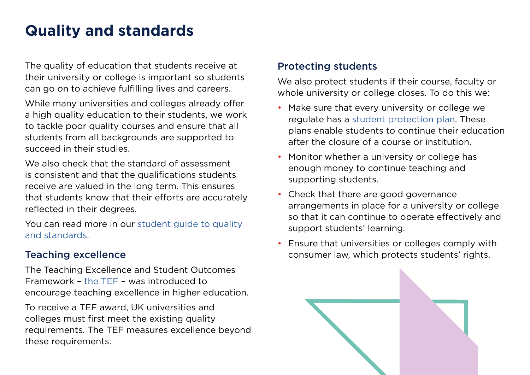## **Quality and standards**

The quality of education that students receive at their university or college is important so students can go on to achieve fulfilling lives and careers.

While many universities and colleges already offer a high quality education to their students, we work to tackle poor quality courses and ensure that all students from all backgrounds are supported to succeed in their studies.

We also check that the standard of assessment is consistent and that the qualifications students receive are valued in the long term. This ensures that students know that their efforts are accurately reflected in their degrees.

You can read more in our [student guide to quality](https://www.officeforstudents.org.uk/for-students/teaching-quality-and-tef/student-guide-to-quality-and-standards/)  [and standards](https://www.officeforstudents.org.uk/for-students/teaching-quality-and-tef/student-guide-to-quality-and-standards/).

#### Teaching excellence

The Teaching Excellence and Student Outcomes Framework – [the TEF](https://www.officeforstudents.org.uk/for-students/teaching-quality-and-tef/the-tef-a-guide-for-students/) – was introduced to encourage teaching excellence in higher education.

To receive a TEF award, UK universities and colleges must first meet the existing quality requirements. The TEF measures excellence beyond these requirements.

#### Protecting students

We also protect students if their course, faculty or whole university or college closes. To do this we:

- Make sure that every university or college we regulate has a [student protection plan.](https://www.officeforstudents.org.uk/advice-and-guidance/student-wellbeing-and-protection/student-protection/student-protection-plans/) These plans enable students to continue their education after the closure of a course or institution.
- Monitor whether a university or college has enough money to continue teaching and supporting students.
- Check that there are good governance arrangements in place for a university or college so that it can continue to operate effectively and support students' learning.
- Ensure that universities or colleges comply with consumer law, which protects students' rights.

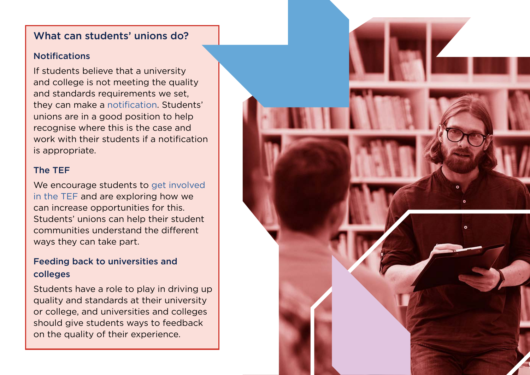#### What can students' unions do?

#### Notifications

If students believe that a university and college is not meeting the quality and standards requirements we set, they can make a [notification](https://www.officeforstudents.org.uk/for-students/ofs-and-students/notifications/). Students' unions are in a good position to help recognise where this is the case and work with their students if a notification is appropriate.

#### The TEF

We encourage students to get involved [in the TEF](https://www.officeforstudents.org.uk/for-students/teaching-quality-and-tef/the-tef-a-guide-for-students/getting-involved-in-the-tef/) and are exploring how we can increase opportunities for this. Students' unions can help their student communities understand the different ways they can take part.

#### Feeding back to universities and colleges

Students have a role to play in driving up quality and standards at their university or college, and universities and colleges should give students ways to feedback on the quality of their experience.